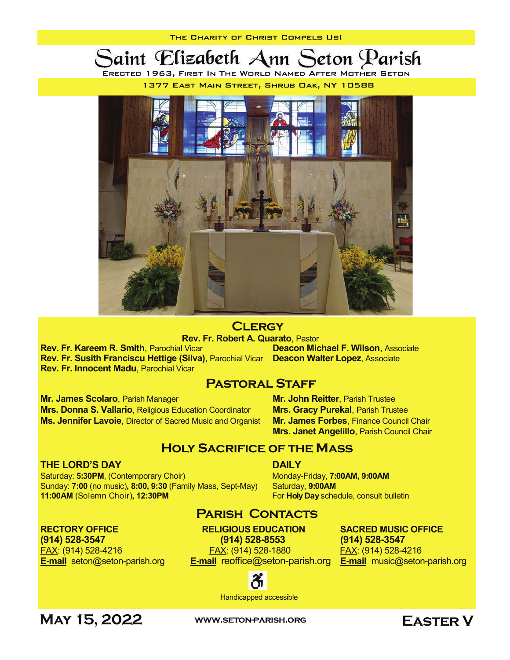Saint Elizabeth Ann Seton Parish

ERECTED 1963, FIRST IN THE WORLD NAMED AFTER MOTHER SETON 1377 EAST MAIN STREET, SHRUB DAK, NY 10588



**CLERGY** 

Rev. Fr. Kareem R. Smith, Parochial Vicar Rev. Fr. Susith Franciscu Hettige (Silva), Parochial Vicar Deacon Walter Lopez, Associate Rev. Fr. Innocent Madu, Parochial Vicar

**Rev. Fr. Robert A. Quarato**, Pastor<br>I Vicar **Carry Coron Michael F. Wilson**, Associate

#### **PASTORAL STAFF**

Mr. James Scolaro, Parish Manager Mr. John Reitter, Parish Trustee Mrs. Donna S. Vallario, Religious Education Coordinator Mrs. Gracy Purekal, Parish Trustee Ms. Jennifer Lavoie, Director of Sacred Music and Organist Mr. James Forbes, Finance Council Chair

#### THE LORD'S DAY DAILY AND DAILY

Saturday: 5:30PM, (Contemporary Choir) Monday-Friday, 7:00AM, 9:00AM Sunday: 7:00 (no music), 8:00, 9:30 (Family Mass, Sept-May) Saturday, 9:00AM 11:00AM (Solemn Choir), 12:30PM **For Holy Day** schedule, consult bulletin

E-mail seton@seton-parish.org E-mail reoffice@seton-parish.org E-mail music@seton-parish.org

Mrs. Janet Angelillo, Parish Council Chair

#### **PARISH CONTACTS**

Holy Sacrifice of the Mass

RECTORY OFFICE RELIGIOUS EDUCATION SACRED MUSIC OFFICE (914) 528-3547 (914) 528-8553 (914) 528-3547 FAX: (914) 528-4216 FAX: (914) 528-1880 FAX: (914) 528-4216



Handicapped accessible

MAY 15, 2022 WWW.SETON-PARISH.ORG EASTER V

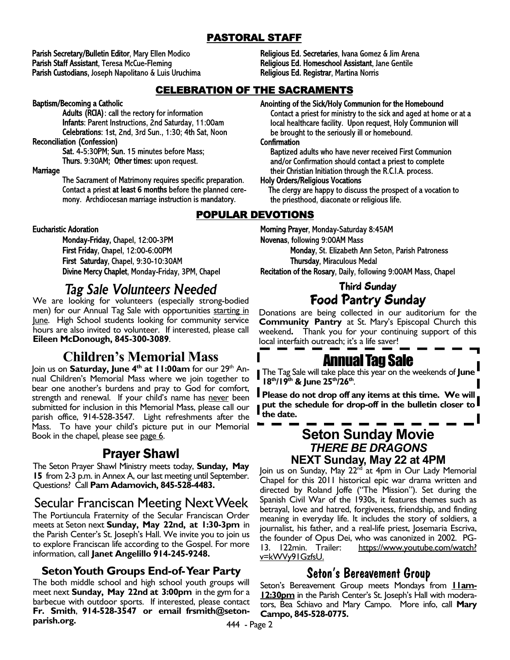#### PASTORAL STAFF

Parish Secretary/Bulletin Editor, Mary Ellen Modico Parish Staff Assistant, Teresa McCue-Fleming Parish Custodians, Joseph Napolitano & Luis Uruchima

#### CELEBRATION OF THE SACRAMENTS

Baptism/Becoming a Catholic

Adults (RCIA): call the rectory for information Infants: Parent Instructions, 2nd Saturday, 11:00am Celebrations: 1st, 2nd, 3rd Sun., 1:30; 4th Sat, Noon

**Reconciliation (Confession)** 

Sat. 4-5:30PM; Sun. 15 minutes before Mass; Thurs. 9:30AM; Other times: upon request.

#### Marriage

The Sacrament of Matrimony requires specific preparation. Contact a priest at least 6 months before the planned ceremony. Archdiocesan marriage instruction is mandatory.

**Eucharistic Adoration** 

Monday-Friday, Chapel, 12:00-3PM First Friday, Chapel, 12:00-6:00PM First Saturday, Chapel, 9:30-10:30AM Divine Mercy Chaplet, Monday-Friday, 3PM, Chapel

## *Tag Sale Volunteers Needed*

We are looking for volunteers (especially strong-bodied men) for our Annual Tag Sale with opportunities starting in June. High School students looking for community service hours are also invited to volunteer. If interested, please call Eileen McDonough, 845-300-3089.

## Children's Memorial Mass

Join us on Saturday, June 4<sup>th</sup> at 11:00am for our 29<sup>th</sup> Annual Children's Memorial Mass where we join together to bear one another's burdens and pray to God for comfort, strength and renewal. If your child's name has never been submitted for inclusion in this Memorial Mass, please call our parish office, 914-528-3547. Light refreshments after the Mass. To have your child's picture put in our Memorial Book in the chapel, please see page 6.

## Prayer Shawl

The Seton Prayer Shawl Ministry meets today, Sunday, May 15 from 2-3 p.m. in Annex A, our last meeting until September. Questions? Call Pam Adamovich, 845-528-4483.

## Secular Franciscan Meeting Next Week

The Portiuncula Fraternity of the Secular Franciscan Order meets at Seton next Sunday, May 22nd, at 1:30-3pm in the Parish Center's St. Joseph's Hall. We invite you to join us to explore Franciscan life according to the Gospel. For more information, call Janet Angelillo 914-245-9248.

#### Seton Youth Groups End-of- Year Party

The both middle school and high school youth groups will meet next Sunday, May 22nd at 3:00pm in the gym for a barbecue with outdoor sports. If interested, please contact Fr. Smith, 914-528-3547 or email frsmith@setonparish.org.

Religious Ed. Secretaries, Ivana Gomez & Jim Arena Religious Ed. Homeschool Assistant, Jane Gentile Religious Ed. Registrar, Martina Norris

Anointing of the Sick/Holy Communion for the Homebound

Contact a priest for ministry to the sick and aged at home or at a local healthcare facility. Upon request, Holy Communion will be brought to the seriously ill or homebound.

#### Confirmation

Baptized adults who have never received First Communion and/or Confirmation should contact a priest to complete their Christian Initiation through the R.C.I.A. process.

#### **Holy Orders/Religious Vocations**

The clergy are happy to discuss the prospect of a vocation to the priesthood, diaconate or religious life.

#### POPULAR DEVOTIONS

Morning Prayer, Monday-Saturday 8:45AM Novenas, following 9:00AM Mass Monday, St. Elizabeth Ann Seton, Parish Patroness Thursday, Miraculous Medal Recitation of the Rosary, Daily, following 9:00AM Mass, Chapel

#### Third Sunday Food Pantry Sunday

Donations are being collected in our auditorium for the Community Pantry at St. Mary's Episcopal Church this weekend. Thank you for your continuing support of this local interfaith outreach; it's a life saver!

# Annual Tag Sale

The Tag Sale will take place this year on the weekends of June  $18^{th}/19^{th}$  & June  $25^{th}/26^{th}$ .

**Please do not drop off any items at this time. We will** put the schedule for drop-off in the bulletin closer to  $\blacksquare$ the date.

#### Seton Sunday Movie *THERE BE DRAGONS* NEXT Sunday, May 22 at 4PM

Join us on Sunday, May 22<sup>nd</sup> at 4pm in Our Lady Memorial Chapel for this 2011 historical epic war drama written and directed by Roland Joffe ("The Mission"). Set during the Spanish Civil War of the 1930s, it features themes such as betrayal, love and hatred, forgiveness, friendship, and finding meaning in everyday life. It includes the story of soldiers, a journalist, his father, and a real-life priest, Josemaria Escriva, the founder of Opus Dei, who was canonized in 2002. PG-13. 122min. Trailer: https://www.youtube.com/watch? <u>v=kWVy91GzfsU.</u>

## **Seton's Bereavement Group**

Seton's Bereavement Group meets Mondays from **Ham-**12:30pm in the Parish Center's St. Joseph's Hall with moderators, Bea Schiavo and Mary Campo. More info, call Mary Campo, 845-528-0775.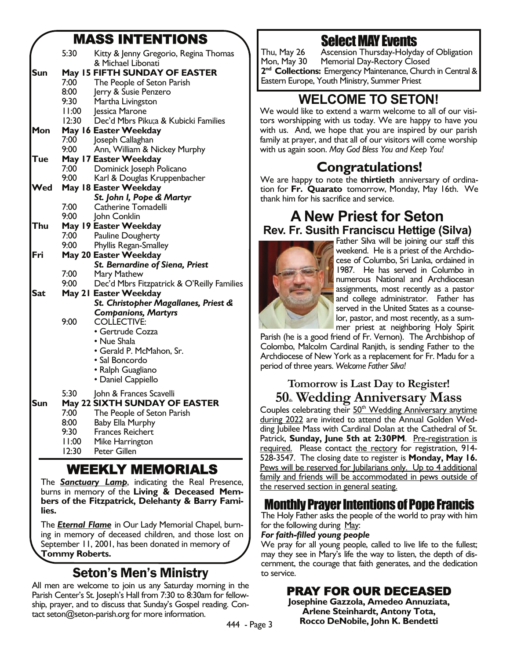## MASS INTENTIONS

|            | 5:30  | Kitty & Jenny Gregorio, Regina Thomas               |
|------------|-------|-----------------------------------------------------|
| Sun        |       | & Michael Libonati<br>May 15 FIFTH SUNDAY OF EASTER |
|            | 7:00  | The People of Seton Parish                          |
|            | 8:00  | Jerry & Susie Penzero                               |
|            | 9:30  | Martha Livingston                                   |
|            | 11:00 | Jessica Marone                                      |
|            | 12:30 | Dec'd Mbrs Piku;a & Kubicki Families                |
| Mon        |       | May 16 Easter Weekday                               |
|            | 7:00  | Joseph Callaghan                                    |
|            | 9:00  | Ann, William & Nickey Murphy                        |
| Tue        |       | May 17 Easter Weekday                               |
|            | 7:00  | Dominick Joseph Policano                            |
|            | 9:00  | Karl & Douglas Kruppenbacher                        |
| ∕ed        |       | May 18 Easter Weekday                               |
|            |       | St. John I, Pope & Martyr                           |
|            | 7:00  | Catherine Tomadelli                                 |
|            | 9:00  | John Conklin                                        |
| Thu        |       | May 19 Easter Weekday                               |
|            | 7:00  | Pauline Dougherty                                   |
|            | 9:00  | Phyllis Regan-Smalley                               |
| Fri        |       | May 20 Easter Weekday                               |
|            | 7:00  | St. Bernardine of Siena, Priest<br>Mary Mathew      |
|            | 9:00  | Dec'd Mbrs Fitzpatrick & O'Reilly Families          |
| <b>Sat</b> |       | May 21 Easter Weekday                               |
|            |       | St. Christopher Magallanes, Priest &                |
|            |       | <b>Companions, Martyrs</b>                          |
|            | 9:00  | <b>COLLECTIVE:</b>                                  |
|            |       | • Gertrude Cozza                                    |
|            |       | • Nue Shala                                         |
|            |       | · Gerald P. McMahon, Sr.                            |
|            |       | • Sal Boncordo                                      |
|            |       | • Ralph Guagliano                                   |
|            |       | • Daniel Cappiello                                  |
|            | 5:30  | John & Frances Scavelli                             |
| Sun        |       | May 22 SIXTH SUNDAY OF EASTER                       |
|            | 7:00  | The People of Seton Parish                          |
|            | 8:00  | Baby Ella Murphy                                    |
|            | 9:30  | Frances Reichert                                    |
|            | 11:00 | Mike Harrington                                     |
|            | 12:30 | <b>Peter Gillen</b>                                 |
|            |       |                                                     |

# WEEKLY MEMORIALS

The *Sanctuary Lamp*, indicating the Real Presence, burns in memory of the Living & Deceased Members of the Fitzpatrick, Delehanty & Barry Families. Ī

The *Eternal Flame* in Our Lady Memorial Chapel, burning in memory of deceased children, and those lost on September 11, 2001, has been donated in memory of Tommy Roberts.

# Seton's Men's Ministry

All men are welcome to join us any Saturday morning in the Parish Center's St. Joseph's Hall from 7:30 to 8:30am for fellowship, prayer, and to discuss that Sunday's Gospel reading. Contact seton@seton-parish.org for more information.

Select MAY Events

Thu, May 26 Ascension Thursday-Holyday of Obligation Mon, May 30 Memorial Day-Rectory Closed 2<sup>nd</sup> Collections: Emergency Maintenance, Church in Central & Eastern Europe, Youth Ministry, Summer Priest

# WELCOME TO SETON!

We would like to extend a warm welcome to all of our visitors worshipping with us today. We are happy to have you with us. And, we hope that you are inspired by our parish family at prayer, and that all of our visitors will come worship with us again soon. *May God Bless You and Keep You!*

# Congratulations!

We are happy to note the **thirtieth** anniversary of ordination for Fr. Quarato tomorrow, Monday, May 16th. We thank him for his sacrifice and service.

## A New Priest for Seton Rev. Fr. Susith Franciscu Hettige (Silva)



Father Silva will be joining our staff this weekend. He is a priest of the Archdiocese of Columbo, Sri Lanka, ordained in 1987. He has served in Columbo in numerous National and Archdiocesan assignments, most recently as a pastor and college administrator. Father has served in the United States as a counselor, pastor, and most recently, as a summer priest at neighboring Holy Spirit

Parish (he is a good friend of Fr. Vernon). The Archbishop of Colombo, Malcolm Cardinal Ranjith, is sending Father to the Archdiocese of New York as a replacement for Fr. Madu for a period of three years. *Welcome Father Silva!* 

#### Tomorrow is Last Day to Register! 50. Wedding Anniversary Mass

Couples celebrating their 50<sup>th</sup> Wedding Anniversary anytime during 2022 are invited to attend the Annual Golden Wedding Jubilee Mass with Cardinal Dolan at the Cathedral of St. Patrick, Sunday, June 5th at 2:30PM. Pre-registration is required. Please contact the rectory for registration, 914-528-3547. The closing date to register is Monday, May 16. Pews will be reserved for Jubilarians only. Up to 4 additional family and friends will be accommodated in pews outside of the reserved section in general seating.

# Monthly Prayer Intentions of Pope Francis

The Holy Father asks the people of the world to pray with him for the following during May:

#### *For faith-filled young people*

We pray for all young people, called to live life to the fullest; may they see in Mary's life the way to listen, the depth of discernment, the courage that faith generates, and the dedication to service.

# PRAY FOR OUR DECEASED Josephine Gazzola, Amedeo Annuziata,

Arlene Steinhardt, Antony Tota, Rocco DeNobile, John K. Bendetti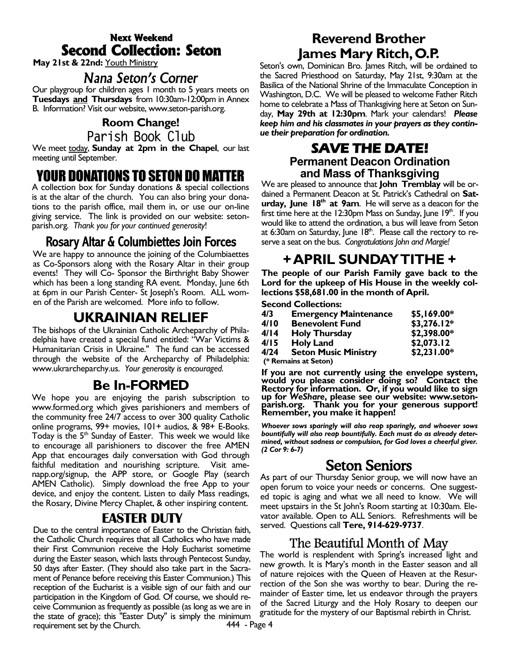### Next Weekend Second Collection: Seton

May 21st & 22nd: Youth Ministry

*Nana Seton's Corner*<br>Our playgroup for children ages 1 month to 5 years meets on **Tuesdays and Thursdays** from 10:30am-12:00pm in Annex B. Information? Visit our website, www.seton-parish.org.

## Room Change!

Parish Book Club

We meet today, Sunday at 2pm in the Chapel, our last meeting until September.

## YOUR DONATIONS TO SETON DO MATTER

A collection box for Sunday donations & special collections is at the altar of the church. You can also bring your donations to the parish office, mail them in, or use our on-line giving service. The link is provided on our website: setonparish.org*. Thank you for your continued generosity*!

### Rosary Altar & Columbiettes Join Forces

We are happy to announce the joining of the Columbiaettes as Co-Sponsors along with the Rosary Altar in their group events! They will Co- Sponsor the Birthright Baby Shower which has been a long standing RA event. Monday, June 6th at 6pm in our Parish Center- St Joseph's Room. ALL women of the Parish are welcomed. More info to follow.

## UKRAINIAN RELIEF

The bishops of the Ukrainian Catholic Archeparchy of Philadelphia have created a special fund entitled: "War Victims & Humanitarian Crisis in Ukraine.'' The fund can be accessed through the website of the Archeparchy of Philadelphia: www.ukrarcheparchy.us. *Your generosity is encouraged.*

### Be In-FORMED

We hope you are enjoying the parish subscription to www.formed.org which gives parishioners and members of the community free 24/7 access to over 300 quality Catholic online programs, 99+ movies, 101+ audios, & 98+ E-Books. Today is the  $5<sup>th</sup>$  Sunday of Easter. This week we would like to encourage all parishioners to discover the free AMEN App that encourages daily conversation with God through faithful meditation and nourishing scripture. Visit amenapp.org/signup, the APP store, or Google Play (search AMEN Catholic). Simply download the free App to your device, and enjoy the content. Listen to daily Mass readings, the Rosary, Divine Mercy Chaplet, & other inspiring content.

#### EASTER DUTY

Due to the central importance of Easter to the Christian faith, the Catholic Church requires that all Catholics who have made their First Communion receive the Holy Eucharist sometime during the Easter season, which lasts through Pentecost Sunday, 50 days after Easter. (They should also take part in the Sacrament of Penance before receiving this Easter Communion.) This reception of the Eucharist is a visible sign of our faith and our participation in the Kingdom of God. Of course, we should receive Communion as frequently as possible (as long as we are in the state of grace); this "Easter Duty" is simply the minimum requirement set by the Church.

## Reverend Brother James Mary Ritch, O.P.

Seton's own, Dominican Bro. James Ritch, will be ordained to the Sacred Priesthood on Saturday, May 21st, 9:30am at the Basilica of the National Shrine of the Immaculate Conception in Washington, D.C. We will be pleased to welcome Father Ritch home to celebrate a Mass of Thanksgiving here at Seton on Sunday, May 29th at 12:30pm. Mark your calendars! *Please keep him and his classmates in your prayers as they continue their preparation for ordination.*

#### SAVE THE DATE! Permanent Deacon Ordination and Mass of Thanksgiving

We are pleased to announce that **John Tremblay** will be ordained a Permanent Deacon at St. Patrick's Cathedral on Saturday, June  $18<sup>th</sup>$  at 9am. He will serve as a deacon for the first time here at the 12:30pm Mass on Sunday, June 19 $^{\text{th}}$ . If you would like to attend the ordination, a bus will leave from Seton at 6:30am on Saturday, June  $18<sup>th</sup>$ . Please call the rectory to reserve a seat on the bus. *Congratulations John and Margie!*

## + APRIL SUNDAY TITHE +

The people of our Parish Family gave back to the Lord for the upkeep of His House in the weekly collections \$58,681.00 in the month of April.

#### Second Collections:

| 4/3  | <b>Emergency Maintenance</b> | \$5,169.00*  |
|------|------------------------------|--------------|
| 4/10 | <b>Benevolent Fund</b>       | $$3,276.12*$ |
| 4/14 | <b>Holy Thursday</b>         | \$2,398.00*  |
| 4/15 | <b>Holy Land</b>             | \$2,073.12   |
| 4/24 | <b>Seton Music Ministry</b>  | \$2,231.00*  |
|      | (* Remains at Seton)         |              |

 If you are not currently using the envelope system, would you please consider doing so? Contact the Rectory for information. Or, if you would like to sign up for *WeShare*, please see our website: www.seton- parish.org. Thank you for your generous support! parish.org. Thank you for your generous support!<br>Remember, you make it happen!

*Whoever sows sparingly will also reap sparingly, and whoever sows bountifully will also reap bountifully. Each must do as already determined, without sadness or compulsion, for God loves a cheerful giver. (2 Cor 9: 6-7)* 

## Seton Seniors

As part of our Thursday Senior group, we will now have an open forum to voice your needs or concerns. One suggested topic is aging and what we all need to know. We will meet upstairs in the St John's Room starting at 10:30am. Elevator available. Open to ALL Seniors. Refreshments will be served. Questions call Tere, 914-629-9737.

## The Beautiful Month of May

The world is resplendent with Spring's increased light and new growth. It is Mary's month in the Easter season and all of nature rejoices with the Queen of Heaven at the Resurrection of the Son she was worthy to bear. During the remainder of Easter time, let us endeavor through the prayers of the Sacred Liturgy and the Holy Rosary to deepen our gratitude for the mystery of our Baptismal rebirth in Christ.